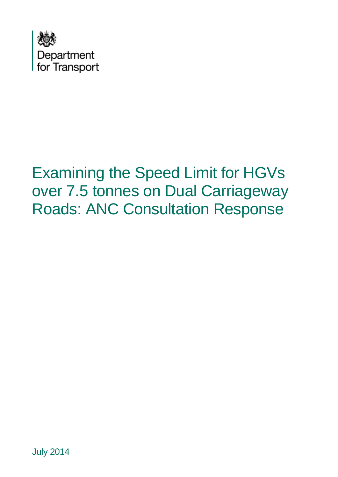

# Examining the Speed Limit for HGVs over 7.5 tonnes on Dual Carriageway Roads: ANC Consultation Response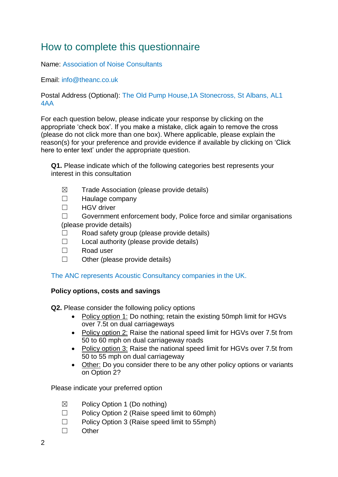# How to complete this questionnaire

Name: Association of Noise Consultants

Email: info@theanc.co.uk

Postal Address (Optional): The Old Pump House,1A Stonecross, St Albans, AL1 4AA

For each question below, please indicate your response by clicking on the appropriate 'check box'. If you make a mistake, click again to remove the cross (please do not click more than one box). Where applicable, please explain the reason(s) for your preference and provide evidence if available by clicking on 'Click here to enter text' under the appropriate question.

**Q1.** Please indicate which of the following categories best represents your interest in this consultation

- $\boxtimes$  Trade Association (please provide details)
- ☐ Haulage company
- ☐ HGV driver

☐ Government enforcement body, Police force and similar organisations (please provide details)

- ☐ Road safety group (please provide details)
- $\Box$  Local authority (please provide details)
- ☐ Road user
- $\Box$  Other (please provide details)

The ANC represents Acoustic Consultancy companies in the UK.

## **Policy options, costs and savings**

**Q2.** Please consider the following policy options

- Policy option 1: Do nothing; retain the existing 50mph limit for HGVs over 7.5t on dual carriageways
- Policy option 2: Raise the national speed limit for HGVs over 7.5t from 50 to 60 mph on dual carriageway roads
- Policy option 3: Raise the national speed limit for HGVs over 7.5t from 50 to 55 mph on dual carriageway
- Other: Do you consider there to be any other policy options or variants on Option 2?

Please indicate your preferred option

- $\boxtimes$  Policy Option 1 (Do nothing)
- ☐ Policy Option 2 (Raise speed limit to 60mph)
- ☐ Policy Option 3 (Raise speed limit to 55mph)
- ☐ Other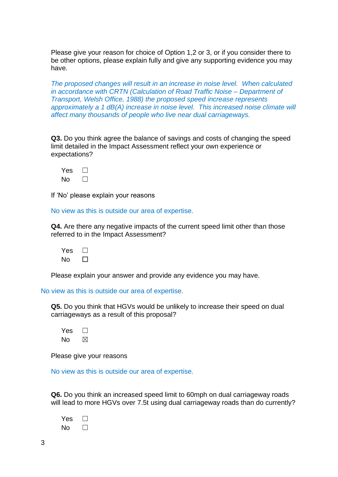Please give your reason for choice of Option 1,2 or 3, or if you consider there to be other options, please explain fully and give any supporting evidence you may have.

*The proposed changes will result in an increase in noise level. When calculated in accordance with CRTN (Calculation of Road Traffic Noise – Department of Transport, Welsh Office, 1988) the proposed speed increase represents approximately a 1 dB(A) increase in noise level. This increased noise climate will affect many thousands of people who live near dual carriageways.*

**Q3.** Do you think agree the balance of savings and costs of changing the speed limit detailed in the Impact Assessment reflect your own experience or expectations?

| Yes |  |
|-----|--|
| N٥  |  |

If 'No' please explain your reasons

No view as this is outside our area of expertise.

**Q4.** Are there any negative impacts of the current speed limit other than those referred to in the Impact Assessment?

Yes □  $N<sub>0</sub>$   $\Box$ 

Please explain your answer and provide any evidence you may have.

No view as this is outside our area of expertise.

**Q5.** Do you think that HGVs would be unlikely to increase their speed on dual carriageways as a result of this proposal?

 $Yes \ \Box$  $No$   $\boxtimes$ 

Please give your reasons

No view as this is outside our area of expertise.

**Q6.** Do you think an increased speed limit to 60mph on dual carriageway roads will lead to more HGVs over 7.5t using dual carriageway roads than do currently?

| Yes |  |
|-----|--|
| N٥  |  |